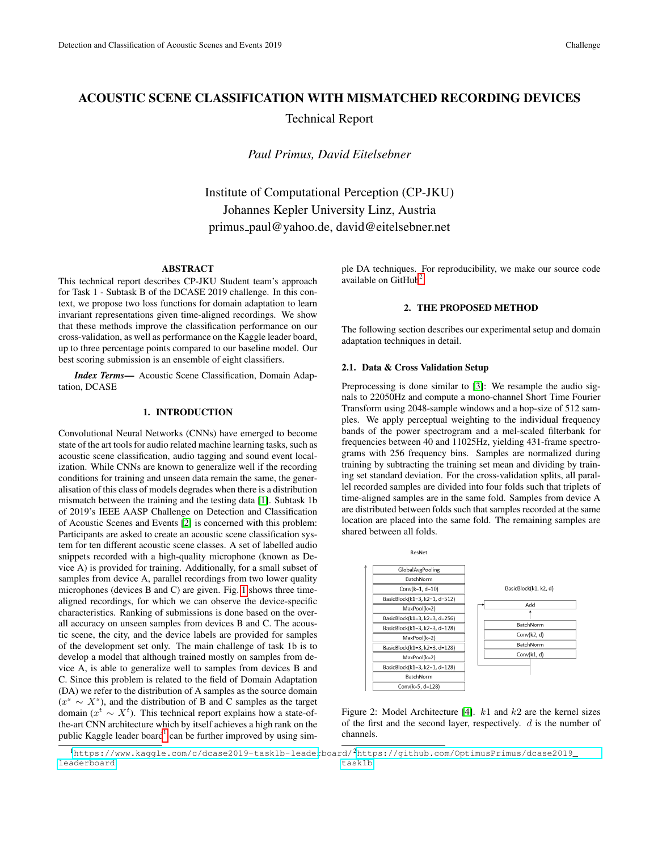# ACOUSTIC SCENE CLASSIFICATION WITH MISMATCHED RECORDING DEVICES Technical Report

*Paul Primus, David Eitelsebner*

Institute of Computational Perception (CP-JKU) Johannes Kepler University Linz, Austria primus paul@yahoo.de, david@eitelsebner.net

## ABSTRACT

This technical report describes CP-JKU Student team's approach for Task 1 - Subtask B of the DCASE 2019 challenge. In this context, we propose two loss functions for domain adaptation to learn invariant representations given time-aligned recordings. We show that these methods improve the classification performance on our cross-validation, as well as performance on the Kaggle leader board, up to three percentage points compared to our baseline model. Our best scoring submission is an ensemble of eight classifiers.

*Index Terms*— Acoustic Scene Classification, Domain Adaptation, DCASE

# 1. INTRODUCTION

<span id="page-0-0"></span>Convolutional Neural Networks (CNNs) have emerged to become state of the art tools for audio related machine learning tasks, such as acoustic scene classification, audio tagging and sound event localization. While CNNs are known to generalize well if the recording conditions for training and unseen data remain the same, the generalisation of this class of models degrades when there is a distribution mismatch between the training and the testing data [\[1\]](#page-2-0). Subtask 1b of 2019's IEEE AASP Challenge on Detection and Classification of Acoustic Scenes and Events [\[2\]](#page-2-1) is concerned with this problem: Participants are asked to create an acoustic scene classification system for ten different acoustic scene classes. A set of labelled audio snippets recorded with a high-quality microphone (known as Device A) is provided for training. Additionally, for a small subset of samples from device A, parallel recordings from two lower quality microphones (devices B and C) are given. Fig. [1](#page-0-0) shows three timealigned recordings, for which we can observe the device-specific characteristics. Ranking of submissions is done based on the overall accuracy on unseen samples from devices B and C. The acoustic scene, the city, and the device labels are provided for samples of the development set only. The main challenge of task 1b is to develop a model that although trained mostly on samples from device A, is able to generalize well to samples from devices B and C. Since this problem is related to the field of Domain Adaptation (DA) we refer to the distribution of A samples as the source domain  $(x^s \sim X^s)$ , and the distribution of B and C samples as the target domain ( $x^t \sim X^t$ ). This technical report explains how a state-ofthe-art CNN architecture which by itself achieves a high rank on the public Kaggle leader board<sup>[1](#page-0-1)</sup> can be further improved by using simple DA techniques. For reproducibility, we make our source code available on  $G$ it $H$ ub<sup>[2](#page-0-2)</sup>.

# 2. THE PROPOSED METHOD

The following section describes our experimental setup and domain adaptation techniques in detail.

#### <span id="page-0-3"></span>2.1. Data & Cross Validation Setup

Preprocessing is done similar to [\[3\]](#page-2-2): We resample the audio signals to 22050Hz and compute a mono-channel Short Time Fourier Transform using 2048-sample windows and a hop-size of 512 samples. We apply perceptual weighting to the individual frequency bands of the power spectrogram and a mel-scaled filterbank for frequencies between 40 and 11025Hz, yielding 431-frame spectrograms with 256 frequency bins. Samples are normalized during training by subtracting the training set mean and dividing by training set standard deviation. For the cross-validation splits, all parallel recorded samples are divided into four folds such that triplets of time-aligned samples are in the same fold. Samples from device A are distributed between folds such that samples recorded at the same location are placed into the same fold. The remaining samples are shared between all folds.



<span id="page-0-4"></span><span id="page-0-2"></span>Figure 2: Model Architecture [\[4\]](#page-2-3).  $k1$  and  $k2$  are the kernel sizes of the first and the second layer, respectively.  $d$  is the number of channels.

<span id="page-0-1"></span><sup>1</sup>[https://www.kaggle.com/c/dcase2019-task1b-leader](https://www.kaggle.com/c/dcase2019-task1b-leaderboard/leaderboard)board/ <sup>2</sup>[https://github.com/OptimusPrimus/dcase2019\\_](https://github.com/OptimusPrimus/dcase2019_task1b) [leaderboard](https://www.kaggle.com/c/dcase2019-task1b-leaderboard/leaderboard) [task1b](https://github.com/OptimusPrimus/dcase2019_task1b)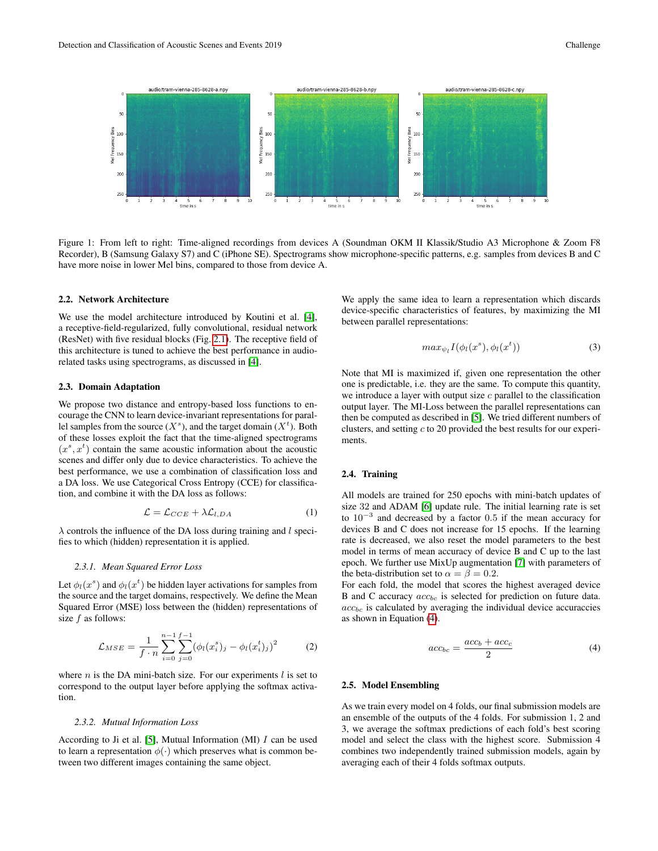

Figure 1: From left to right: Time-aligned recordings from devices A (Soundman OKM II Klassik/Studio A3 Microphone & Zoom F8 Recorder), B (Samsung Galaxy S7) and C (iPhone SE). Spectrograms show microphone-specific patterns, e.g. samples from devices B and C have more noise in lower Mel bins, compared to those from device A.

#### <span id="page-1-1"></span>2.2. Network Architecture

We use the model architecture introduced by Koutini et al. [\[4\]](#page-2-3), a receptive-field-regularized, fully convolutional, residual network (ResNet) with five residual blocks (Fig. [2.1\)](#page-0-3). The receptive field of this architecture is tuned to achieve the best performance in audiorelated tasks using spectrograms, as discussed in [\[4\]](#page-2-3).

#### 2.3. Domain Adaptation

We propose two distance and entropy-based loss functions to encourage the CNN to learn device-invariant representations for parallel samples from the source  $(X^s)$ , and the target domain  $(X^t)$ . Both of these losses exploit the fact that the time-aligned spectrograms  $(x^s, x^t)$  contain the same acoustic information about the acoustic scenes and differ only due to device characteristics. To achieve the best performance, we use a combination of classification loss and a DA loss. We use Categorical Cross Entropy (CCE) for classification, and combine it with the DA loss as follows:

$$
\mathcal{L} = \mathcal{L}_{CCE} + \lambda \mathcal{L}_{l,DA} \tag{1}
$$

 $\lambda$  controls the influence of the DA loss during training and  $l$  specifies to which (hidden) representation it is applied.

#### <span id="page-1-3"></span>*2.3.1. Mean Squared Error Loss*

Let  $\phi_l(x^s)$  and  $\phi_l(x^t)$  be hidden layer activations for samples from the source and the target domains, respectively. We define the Mean Squared Error (MSE) loss between the (hidden) representations of size  $f$  as follows:

$$
\mathcal{L}_{MSE} = \frac{1}{f \cdot n} \sum_{i=0}^{n-1} \sum_{j=0}^{f-1} (\phi_l(x_i^s)_j - \phi_l(x_i^t)_j)^2 \tag{2}
$$

where  $n$  is the DA mini-batch size. For our experiments  $l$  is set to correspond to the output layer before applying the softmax activation.

#### <span id="page-1-2"></span>*2.3.2. Mutual Information Loss*

According to Ji et al. [\[5\]](#page-3-0), Mutual Information (MI)  $I$  can be used to learn a representation  $\phi(\cdot)$  which preserves what is common between two different images containing the same object.

We apply the same idea to learn a representation which discards device-specific characteristics of features, by maximizing the MI between parallel representations:

$$
max_{\psi_l} I(\phi_l(x^s), \phi_l(x^t)) \tag{3}
$$

Note that MI is maximized if, given one representation the other one is predictable, i.e. they are the same. To compute this quantity, we introduce a layer with output size  $c$  parallel to the classification output layer. The MI-Loss between the parallel representations can then be computed as described in [\[5\]](#page-3-0). We tried different numbers of clusters, and setting c to 20 provided the best results for our experiments.

#### 2.4. Training

All models are trained for 250 epochs with mini-batch updates of size 32 and ADAM [\[6\]](#page-3-1) update rule. The initial learning rate is set to  $10^{-3}$  and decreased by a factor 0.5 if the mean accuracy for devices B and C does not increase for 15 epochs. If the learning rate is decreased, we also reset the model parameters to the best model in terms of mean accuracy of device B and C up to the last epoch. We further use MixUp augmentation [\[7\]](#page-3-2) with parameters of the beta-distribution set to  $\alpha = \beta = 0.2$ .

For each fold, the model that scores the highest averaged device B and C accuracy  $acc_{bc}$  is selected for prediction on future data.  $acc_{bc}$  is calculated by averaging the individual device accuraccies as shown in Equation [\(4\)](#page-1-0).

<span id="page-1-0"></span>
$$
acc_{bc} = \frac{acc_b + acc_c}{2} \tag{4}
$$

#### 2.5. Model Ensembling

As we train every model on 4 folds, our final submission models are an ensemble of the outputs of the 4 folds. For submission 1, 2 and 3, we average the softmax predictions of each fold's best scoring model and select the class with the highest score. Submission 4 combines two independently trained submission models, again by averaging each of their 4 folds softmax outputs.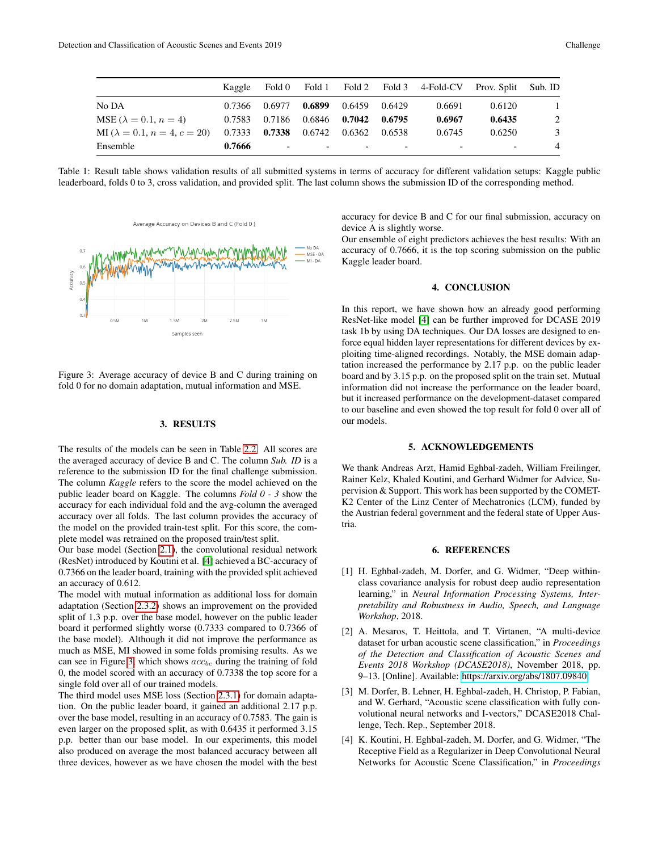|                                     | Kaggle | Fold 0                     |        |        |        | Fold 1 Fold 2 Fold 3 4-Fold-CV | Prov. Split | Sub. ID        |
|-------------------------------------|--------|----------------------------|--------|--------|--------|--------------------------------|-------------|----------------|
| No DA                               | 0.7366 | 0.6977                     | 0.6899 | 0.6459 | 0.6429 | 0.6691                         | 0.6120      |                |
| MSE ( $\lambda = 0.1, n = 4$ )      |        | 0.7583 0.7186              | 0.6846 | 0.7042 | 0.6795 | 0.6967                         | 0.6435      | 2              |
| MI $(\lambda = 0.1, n = 4, c = 20)$ |        | $0.7333$ $0.7338$ $0.6742$ |        | 0.6362 | 0.6538 | 0.6745                         | 0.6250      | 3              |
| Ensemble                            | 0.7666 | $\overline{\phantom{a}}$   | -      |        |        |                                |             | $\overline{4}$ |

Table 1: Result table shows validation results of all submitted systems in terms of accuracy for different validation setups: Kaggle public leaderboard, folds 0 to 3, cross validation, and provided split. The last column shows the submission ID of the corresponding method.



Figure 3: Average accuracy of device B and C during training on fold 0 for no domain adaptation, mutual information and MSE.

# 3. RESULTS

<span id="page-2-4"></span>The results of the models can be seen in Table [2.2.](#page-1-1) All scores are the averaged accuracy of device B and C. The column *Sub. ID* is a reference to the submission ID for the final challenge submission. The column *Kaggle* refers to the score the model achieved on the public leader board on Kaggle. The columns *Fold 0 - 3* show the accuracy for each individual fold and the avg-column the averaged accuracy over all folds. The last column provides the accuracy of the model on the provided train-test split. For this score, the complete model was retrained on the proposed train/test split.

Our base model (Section [2.1\)](#page-0-4), the convolutional residual network (ResNet) introduced by Koutini et al. [\[4\]](#page-2-3) achieved a BC-accuracy of 0.7366 on the leader board, training with the provided split achieved an accuracy of 0.612.

The model with mutual information as additional loss for domain adaptation (Section [2.3.2\)](#page-1-2) shows an improvement on the provided split of 1.3 p.p. over the base model, however on the public leader board it performed slightly worse (0.7333 compared to 0.7366 of the base model). Although it did not improve the performance as much as MSE, MI showed in some folds promising results. As we can see in Figure [3,](#page-2-4) which shows  $acc_{bc}$  during the training of fold 0, the model scored with an accuracy of 0.7338 the top score for a single fold over all of our trained models.

The third model uses MSE loss (Section [2.3.1\)](#page-1-3) for domain adaptation. On the public leader board, it gained an additional 2.17 p.p. over the base model, resulting in an accuracy of 0.7583. The gain is even larger on the proposed split, as with 0.6435 it performed 3.15 p.p. better than our base model. In our experiments, this model also produced on average the most balanced accuracy between all three devices, however as we have chosen the model with the best accuracy for device B and C for our final submission, accuracy on device A is slightly worse.

Our ensemble of eight predictors achieves the best results: With an accuracy of 0.7666, it is the top scoring submission on the public Kaggle leader board.

#### 4. CONCLUSION

In this report, we have shown how an already good performing ResNet-like model [\[4\]](#page-2-3) can be further improved for DCASE 2019 task 1b by using DA techniques. Our DA losses are designed to enforce equal hidden layer representations for different devices by exploiting time-aligned recordings. Notably, the MSE domain adaptation increased the performance by 2.17 p.p. on the public leader board and by 3.15 p.p. on the proposed split on the train set. Mutual information did not increase the performance on the leader board, but it increased performance on the development-dataset compared to our baseline and even showed the top result for fold 0 over all of our models.

### 5. ACKNOWLEDGEMENTS

We thank Andreas Arzt, Hamid Eghbal-zadeh, William Freilinger, Rainer Kelz, Khaled Koutini, and Gerhard Widmer for Advice, Supervision & Support. This work has been supported by the COMET-K2 Center of the Linz Center of Mechatronics (LCM), funded by the Austrian federal government and the federal state of Upper Austria.

## 6. REFERENCES

- <span id="page-2-0"></span>[1] H. Eghbal-zadeh, M. Dorfer, and G. Widmer, "Deep withinclass covariance analysis for robust deep audio representation learning," in *Neural Information Processing Systems, Interpretability and Robustness in Audio, Speech, and Language Workshop*, 2018.
- <span id="page-2-1"></span>[2] A. Mesaros, T. Heittola, and T. Virtanen, "A multi-device dataset for urban acoustic scene classification," in *Proceedings of the Detection and Classification of Acoustic Scenes and Events 2018 Workshop (DCASE2018)*, November 2018, pp. 9–13. [Online]. Available:<https://arxiv.org/abs/1807.09840>
- <span id="page-2-2"></span>[3] M. Dorfer, B. Lehner, H. Eghbal-zadeh, H. Christop, P. Fabian, and W. Gerhard, "Acoustic scene classification with fully convolutional neural networks and I-vectors," DCASE2018 Challenge, Tech. Rep., September 2018.
- <span id="page-2-3"></span>[4] K. Koutini, H. Eghbal-zadeh, M. Dorfer, and G. Widmer, "The Receptive Field as a Regularizer in Deep Convolutional Neural Networks for Acoustic Scene Classification," in *Proceedings*